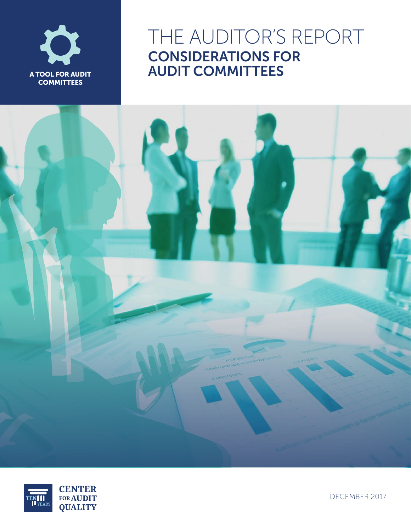





DECEMBER 2017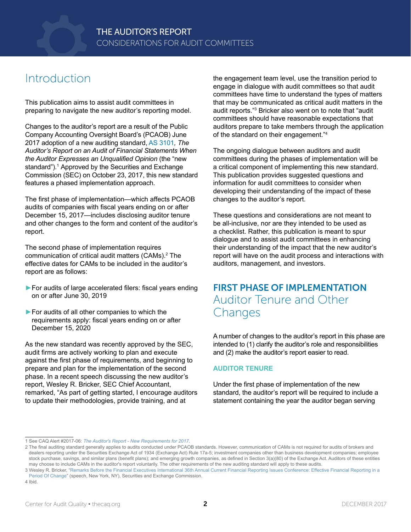## Introduction

This publication aims to assist audit committees in preparing to navigate the new auditor's reporting model.

Changes to the auditor's report are a result of the Public Company Accounting Oversight Board's (PCAOB) June 2017 adoption of a new auditing standard, [AS 3101](https://pcaobus.org/Rulemaking/Docket034/2017-001-auditors-report-final-rule.pdf)*, The Auditor's Report on an Audit of Financial Statements When the Auditor Expresses an Unqualified Opinion* (the "new standard")*.* <sup>1</sup> Approved by the Securities and Exchange Commission (SEC) on October 23, 2017, this new standard features a phased implementation approach.

The first phase of implementation—which affects PCAOB audits of companies with fiscal years ending on or after December 15, 2017—includes disclosing auditor tenure and other changes to the form and content of the auditor's report.

The second phase of implementation requires communication of critical audit matters (CAMs).2 The effective dates for CAMs to be included in the auditor's report are as follows:

- ► For audits of large accelerated filers: fiscal years ending on or after June 30, 2019
- ►For audits of all other companies to which the requirements apply: fiscal years ending on or after December 15, 2020

As the new standard was recently approved by the SEC, audit firms are actively working to plan and execute against the first phase of requirements, and beginning to prepare and plan for the implementation of the second phase. In a recent speech discussing the new auditor's report, Wesley R. Bricker, SEC Chief Accountant, remarked, "As part of getting started, I encourage auditors to update their methodologies, provide training, and at

the engagement team level, use the transition period to engage in dialogue with audit committees so that audit committees have time to understand the types of matters that may be communicated as critical audit matters in the audit reports."3 Bricker also went on to note that "audit committees should have reasonable expectations that auditors prepare to take members through the application of the standard on their engagement."4

The ongoing dialogue between auditors and audit committees during the phases of implementation will be a critical component of implementing this new standard. This publication provides suggested questions and information for audit committees to consider when developing their understanding of the impact of these changes to the auditor's report.

These questions and considerations are not meant to be all-inclusive, nor are they intended to be used as a checklist. Rather, this publication is meant to spur dialogue and to assist audit committees in enhancing their understanding of the impact that the new auditor's report will have on the audit process and interactions with auditors, management, and investors.

## FIRST PHASE OF IMPLEMENTATION Auditor Tenure and Other Changes

A number of changes to the auditor's report in this phase are intended to (1) clarify the auditor's role and responsibilities and (2) make the auditor's report easier to read.

#### **AUDITOR TENURE**

Under the first phase of implementation of the new standard, the auditor's report will be required to include a statement containing the year the auditor began serving

4 Ibid.

<sup>1</sup> See CAQ Alert #2017-06: *[The Auditor's Report - New Requirements for 2017](http://www.thecaq.org/caq-alert-2017-06-auditors-report-new-requirements-2017)*.

<sup>2</sup> The final auditing standard generally applies to audits conducted under PCAOB standards. However, communication of CAMs is not required for audits of brokers and dealers reporting under the Securities Exchange Act of 1934 (Exchange Act) Rule 17a-5; investment companies other than business development companies; employee stock purchase, savings, and similar plans (benefit plans); and emerging growth companies, as defined in Section 3(a)(80) of the Exchange Act. Auditors of these entities may choose to include CAMs in the auditor's report voluntarily. The other requirements of the new auditing standard will apply to these audits.

<sup>3</sup> Wesley R. Bricker, "[Remarks Before the Financial Executives International 36th Annual Current Financial Reporting Issues Conference: Effective Financial Reporting in a](https://www.sec.gov/news/speech/speech-bricker-2017-11-14)  [Period Of Change](https://www.sec.gov/news/speech/speech-bricker-2017-11-14)" (speech, New York, NY), Securities and Exchange Commission.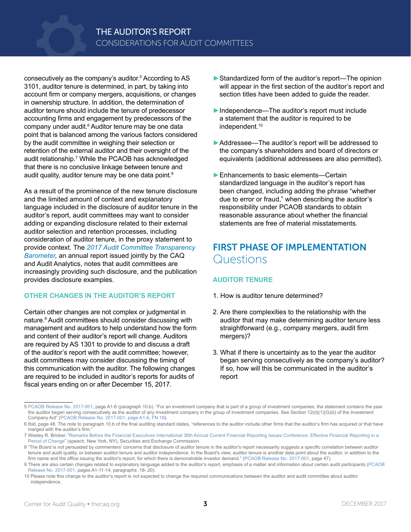consecutively as the company's auditor.<sup>5</sup> According to AS 3101, auditor tenure is determined, in part, by taking into account firm or company mergers, acquisitions, or changes in ownership structure. In addition, the determination of auditor tenure should include the tenure of predecessor accounting firms and engagement by predecessors of the company under audit.<sup>6</sup> Auditor tenure may be one data point that is balanced among the various factors considered by the audit committee in weighing their selection or retention of the external auditor and their oversight of the audit relationship.7 While the PCAOB has acknowledged that there is no conclusive linkage between tenure and audit quality, auditor tenure may be one data point.<sup>8</sup>

As a result of the prominence of the new tenure disclosure and the limited amount of context and explanatory language included in the disclosure of auditor tenure in the auditor's report, audit committees may want to consider adding or expanding disclosure related to their external auditor selection and retention processes, including consideration of auditor tenure, in the proxy statement to provide context. The *[2017 Audit Committee Transparency](http://www.thecaq.org/2017-audit-committee-transparency-barometer)  [Barometer](http://www.thecaq.org/2017-audit-committee-transparency-barometer),* an annual report issued jointly by the CAQ and Audit Analytics, notes that audit committees are increasingly providing such disclosure, and the publication provides disclosure examples.

#### **OTHER CHANGES IN THE AUDITOR'S REPORT**

Certain other changes are not complex or judgmental in nature.9 Audit committees should consider discussing with management and auditors to help understand how the form and content of their auditor's report will change. Auditors are required by AS 1301 to provide to and discuss a draft of the auditor's report with the audit committee; however, audit committees may consider discussing the timing of this communication with the auditor. The following changes are required to be included in auditor's reports for audits of fiscal years ending on or after December 15, 2017.

- ► Standardized form of the auditor's report—The opinion will appear in the first section of the auditor's report and section titles have been added to guide the reader.
- ►Independence—The auditor's report must include a statement that the auditor is required to be independent.<sup>10</sup>
- ►Addressee—The auditor's report will be addressed to the company's shareholders and board of directors or equivalents (additional addressees are also permitted).
- ►Enhancements to basic elements—Certain standardized language in the auditor's report has been changed, including adding the phrase "whether due to error or fraud," when describing the auditor's responsibility under PCAOB standards to obtain reasonable assurance about whether the financial statements are free of material misstatements.

## FIRST PHASE OF IMPLEMENTATION Questions

#### **AUDITOR TENURE**

- 1. How is auditor tenure determined?
- 2. Are there complexities to the relationship with the auditor that may make determining auditor tenure less straightforward (e.g., company mergers, audit firm mergers)?
- 3. What if there is uncertainty as to the year the auditor began serving consecutively as the company's auditor? If so, how will this be communicated in the auditor's report

<sup>5</sup> [PCAOB Release No. 2017-001](https://pcaobus.org/Rulemaking/Docket034/2017-001-auditors-report-final-rule.pdf), page A1-6 (paragraph 10.b). "For an investment company that is part of a group of investment companies, the statement contains the year the auditor began serving consecutively as the auditor of any investment company in the group of investment companies. See Section 12(d)(1)(G)(ii) of the Investment Company Act" ([PCAOB Release No. 2017-001,](https://pcaobus.org/Rulemaking/Docket034/2017-001-auditors-report-final-rule.pdf) page A1-6, FN 18).

<sup>6</sup> Ibid, page 48. The note to paragraph 10.b of the final auditing standard states, "references to the auditor include other firms that the auditor's firm has acquired or that have merged with the auditor's firm."

<sup>7</sup> Wesley R. Bricker, ["Remarks Before the Financial Executives International 36th Annual Current Financial Reporting Issues Conference: Effective Financial Reporting in a](https://www.sec.gov/news/speech/speech-bricker-2017-11-14)  [Period of Change](https://www.sec.gov/news/speech/speech-bricker-2017-11-14)" (speech, New York, NY), Securities and Exchange Commission.

<sup>8 &</sup>quot;The Board is not persuaded by commenters' concerns that disclosure of auditor tenure in the auditor's report necessarily suggests a specific correlation between auditor tenure and audit quality, or between auditor tenure and auditor independence. In the Board's view, auditor tenure is another data point about the auditor, in addition to the firm name and the office issuing the auditor's report, for which there is demonstrable investor demand." ([PCAOB Release No. 2017-001,](https://pcaobus.org/Rulemaking/Docket034/2017-001-auditors-report-final-rule.pdf) page 47).

<sup>9</sup> There are also certain changes related to explanatory language added to the auditor's report, emphasis of a matter and information about certain audit participants ([PCAOB](https://pcaobus.org/Rulemaking/Docket034/2017-001-auditors-report-final-rule.pdf)  [Release No. 2017-001](https://pcaobus.org/Rulemaking/Docket034/2017-001-auditors-report-final-rule.pdf), pages A1-11-14, paragraphs .18-.20).

<sup>10</sup> Please note this change to the auditor's report is not expected to change the required communications between the auditor and audit committee about auditor independence.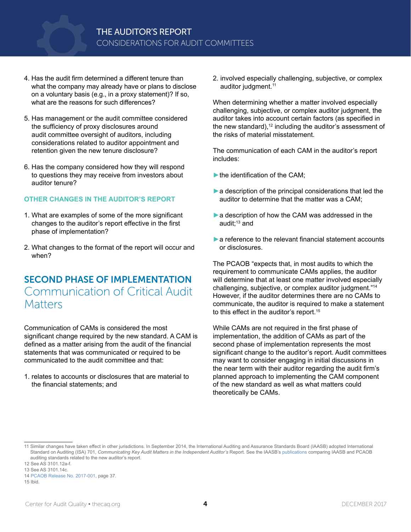- 4. Has the audit firm determined a different tenure than what the company may already have or plans to disclose on a voluntary basis (e.g., in a proxy statement)? If so, what are the reasons for such differences?
- 5. Has management or the audit committee considered the sufficiency of proxy disclosures around audit committee oversight of auditors, including considerations related to auditor appointment and retention given the new tenure disclosure?
- 6. Has the company considered how they will respond to questions they may receive from investors about auditor tenure?

#### **OTHER CHANGES IN THE AUDITOR'S REPORT**

- 1. What are examples of some of the more significant changes to the auditor's report effective in the first phase of implementation?
- 2. What changes to the format of the report will occur and when?

## SECOND PHASE OF IMPI EMENTATION Communication of Critical Audit **Matters**

Communication of CAMs is considered the most significant change required by the new standard. A CAM is defined as a matter arising from the audit of the financial statements that was communicated or required to be communicated to the audit committee and that:

1. relates to accounts or disclosures that are material to the financial statements; and

2. involved especially challenging, subjective, or complex auditor judgment.<sup>11</sup>

When determining whether a matter involved especially challenging, subjective, or complex auditor judgment, the auditor takes into account certain factors (as specified in the new standard), $12$  including the auditor's assessment of the risks of material misstatement.

The communication of each CAM in the auditor's report includes:

- $\blacktriangleright$  the identification of the CAM;
- $\blacktriangleright$  a description of the principal considerations that led the auditor to determine that the matter was a CAM;
- ► a description of how the CAM was addressed in the audit: $13$  and
- ▶ a reference to the relevant financial statement accounts or disclosures.

The PCAOB "expects that, in most audits to which the requirement to communicate CAMs applies, the auditor will determine that at least one matter involved especially challenging, subjective, or complex auditor judgment."14 However, if the auditor determines there are no CAMs to communicate, the auditor is required to make a statement to this effect in the auditor's report.<sup>15</sup>

While CAMs are not required in the first phase of implementation, the addition of CAMs as part of the second phase of implementation represents the most significant change to the auditor's report. Audit committees may want to consider engaging in initial discussions in the near term with their auditor regarding the audit firm's planned approach to implementing the CAM component of the new standard as well as what matters could theoretically be CAMs.

<sup>11</sup> Similar changes have taken effect in other jurisdictions. In September 2014, the International Auditing and Assurance Standards Board (IAASB) adopted International Standard on Auditing (ISA) 701, *Communicating Key Audit Matters in the Independent Auditor's* Report. See the IAASB's [publications](http://www.ifac.org/publications-resources/new-auditor-s-report-comparison-between-iaasb-and-us-pcaob-standards) comparing IAASB and PCAOB auditing standards related to the new auditor's report.

<sup>12</sup> See AS 3101.12a-f.

<sup>13</sup> See AS 3101.14c.

<sup>14</sup> [PCAOB Release No. 2017-001](https://pcaobus.org/Rulemaking/Docket034/2017-001-auditors-report-final-rule.pdf), page 37. 15 Ibid.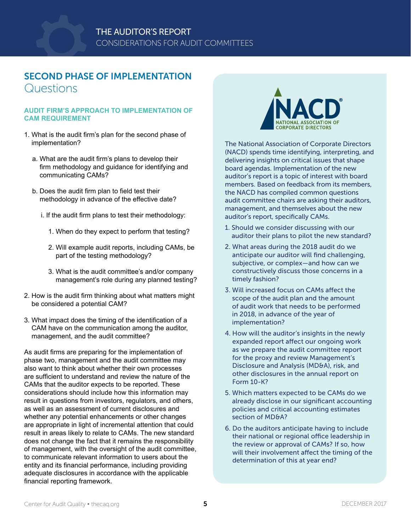### SECOND PHASE OF IMPLEMENTATION **Questions**

#### **AUDIT FIRM'S APPROACH TO IMPLEMENTATION OF CAM REQUIREMENT**

- 1. What is the audit firm's plan for the second phase of implementation?
	- a. What are the audit firm's plans to develop their firm methodology and guidance for identifying and communicating CAMs?
	- b. Does the audit firm plan to field test their methodology in advance of the effective date?
		- i. If the audit firm plans to test their methodology:
			- 1. When do they expect to perform that testing?
			- 2. Will example audit reports, including CAMs, be part of the testing methodology?
			- 3. What is the audit committee's and/or company management's role during any planned testing?
- 2. How is the audit firm thinking about what matters might be considered a potential CAM?
- 3. What impact does the timing of the identification of a CAM have on the communication among the auditor, management, and the audit committee?

As audit firms are preparing for the implementation of phase two, management and the audit committee may also want to think about whether their own processes are sufficient to understand and review the nature of the CAMs that the auditor expects to be reported. These considerations should include how this information may result in questions from investors, regulators, and others, as well as an assessment of current disclosures and whether any potential enhancements or other changes are appropriate in light of incremental attention that could result in areas likely to relate to CAMs. The new standard does not change the fact that it remains the responsibility of management, with the oversight of the audit committee, to communicate relevant information to users about the entity and its financial performance, including providing adequate disclosures in accordance with the applicable financial reporting framework.



The National Association of Corporate Directors (NACD) spends time identifying, interpreting, and delivering insights on critical issues that shape board agendas. Implementation of the new auditor's report is a topic of interest with board members. Based on feedback from its members, the NACD has compiled common questions audit committee chairs are asking their auditors, management, and themselves about the new auditor's report, specifically CAMs.

- 1. Should we consider discussing with our auditor their plans to pilot the new standard?
- 2. What areas during the 2018 audit do we anticipate our auditor will find challenging, subjective, or complex—and how can we constructively discuss those concerns in a timely fashion?
- 3. Will increased focus on CAMs affect the scope of the audit plan and the amount of audit work that needs to be performed in 2018, in advance of the year of implementation?
- 4. How will the auditor's insights in the newly expanded report affect our ongoing work as we prepare the audit committee report for the proxy and review Management's Disclosure and Analysis (MD&A), risk, and other disclosures in the annual report on Form 10-K?
- 5. Which matters expected to be CAMs do we already disclose in our significant accounting policies and critical accounting estimates section of MD&A?
- 6. Do the auditors anticipate having to include their national or regional office leadership in the review or approval of CAMs? If so, how will their involvement affect the timing of the determination of this at year end?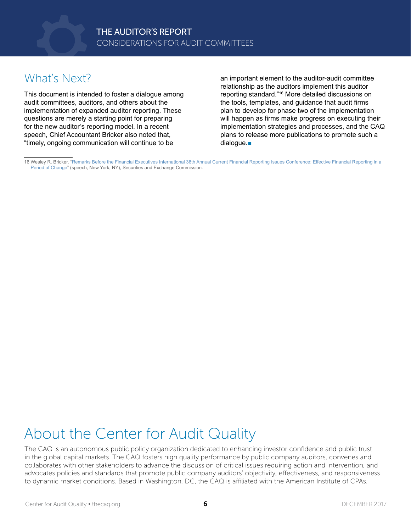

## What's Next?

This document is intended to foster a dialogue among audit committees, auditors, and others about the implementation of expanded auditor reporting. These questions are merely a starting point for preparing for the new auditor's reporting model. In a recent speech, Chief Accountant Bricker also noted that, "timely, ongoing communication will continue to be

an important element to the auditor-audit committee relationship as the auditors implement this auditor reporting standard."16 More detailed discussions on the tools, templates, and guidance that audit firms plan to develop for phase two of the implementation will happen as firms make progress on executing their implementation strategies and processes, and the CAQ plans to release more publications to promote such a dialogue.■

16 Wesley R. Bricker, ["Remarks Before the Financial Executives International 36th Annual Current Financial Reporting Issues Conference: Effective Financial Reporting in a](https://www.sec.gov/news/speech/speech-bricker-2017-11-14)  [Period of Change](https://www.sec.gov/news/speech/speech-bricker-2017-11-14)" (speech, New York, NY), Securities and Exchange Commission.

# About the Center for Audit Quality

The CAQ is an autonomous public policy organization dedicated to enhancing investor confidence and public trust in the global capital markets. The CAQ fosters high quality performance by public company auditors, convenes and collaborates with other stakeholders to advance the discussion of critical issues requiring action and intervention, and advocates policies and standards that promote public company auditors' objectivity, effectiveness, and responsiveness to dynamic market conditions. Based in Washington, DC, the CAQ is affiliated with the American Institute of CPAs.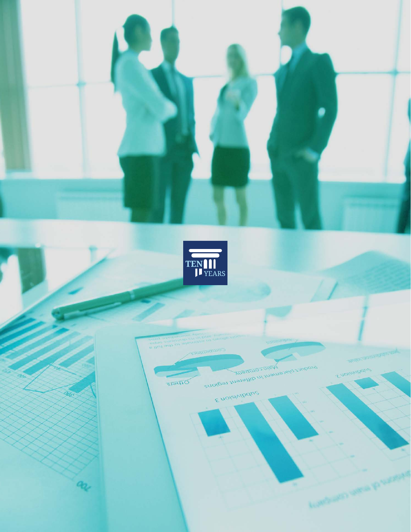